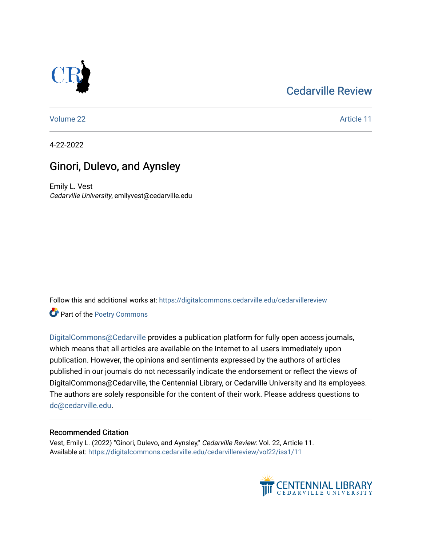# [Cedarville Review](https://digitalcommons.cedarville.edu/cedarvillereview)



[Volume 22](https://digitalcommons.cedarville.edu/cedarvillereview/vol22) Article 11

4-22-2022

# Ginori, Dulevo, and Aynsley

Emily L. Vest Cedarville University, emilyvest@cedarville.edu

Follow this and additional works at: [https://digitalcommons.cedarville.edu/cedarvillereview](https://digitalcommons.cedarville.edu/cedarvillereview?utm_source=digitalcommons.cedarville.edu%2Fcedarvillereview%2Fvol22%2Fiss1%2F11&utm_medium=PDF&utm_campaign=PDFCoverPages) 

Part of the [Poetry Commons](http://network.bepress.com/hgg/discipline/1153?utm_source=digitalcommons.cedarville.edu%2Fcedarvillereview%2Fvol22%2Fiss1%2F11&utm_medium=PDF&utm_campaign=PDFCoverPages) 

[DigitalCommons@Cedarville](http://digitalcommons.cedarville.edu/) provides a publication platform for fully open access journals, which means that all articles are available on the Internet to all users immediately upon publication. However, the opinions and sentiments expressed by the authors of articles published in our journals do not necessarily indicate the endorsement or reflect the views of DigitalCommons@Cedarville, the Centennial Library, or Cedarville University and its employees. The authors are solely responsible for the content of their work. Please address questions to [dc@cedarville.edu.](mailto:dc@cedarville.edu)

## Recommended Citation

Vest, Emily L. (2022) "Ginori, Dulevo, and Aynsley," Cedarville Review: Vol. 22, Article 11. Available at: [https://digitalcommons.cedarville.edu/cedarvillereview/vol22/iss1/11](https://digitalcommons.cedarville.edu/cedarvillereview/vol22/iss1/11?utm_source=digitalcommons.cedarville.edu%2Fcedarvillereview%2Fvol22%2Fiss1%2F11&utm_medium=PDF&utm_campaign=PDFCoverPages)

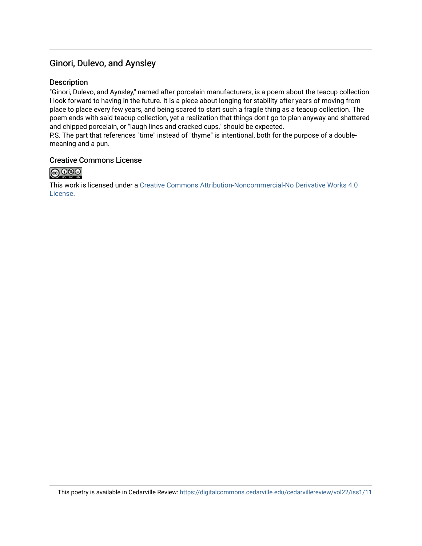## Ginori, Dulevo, and Aynsley

## Description

"Ginori, Dulevo, and Aynsley," named after porcelain manufacturers, is a poem about the teacup collection I look forward to having in the future. It is a piece about longing for stability after years of moving from place to place every few years, and being scared to start such a fragile thing as a teacup collection. The poem ends with said teacup collection, yet a realization that things don't go to plan anyway and shattered and chipped porcelain, or "laugh lines and cracked cups," should be expected.

P.S. The part that references "time" instead of "thyme" is intentional, both for the purpose of a doublemeaning and a pun.

#### Creative Commons License



This work is licensed under a [Creative Commons Attribution-Noncommercial-No Derivative Works 4.0](http://creativecommons.org/licenses/by-nc-nd/4.0/) [License](http://creativecommons.org/licenses/by-nc-nd/4.0/).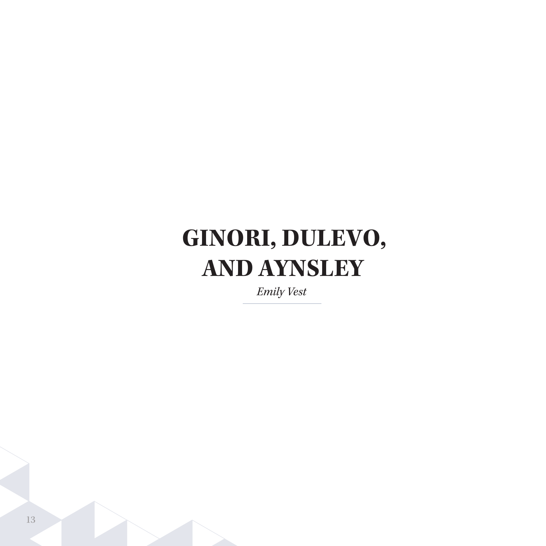# **GINORI, DULEVO, AND AYNSLEY**

*Emily Vest*